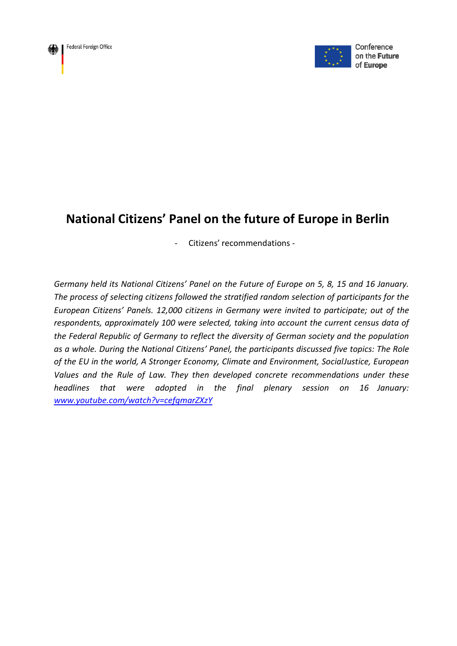



Conference on the Future of Europe

# **National Citizens' Panel on the future of Europe in Berlin**

- Citizens' recommendations -

*Germany held its National Citizens' Panel on the Future of Europe on 5, 8, 15 and 16 January. The process of selecting citizens followed the stratified random selection of participants for the European Citizens' Panels. 12,000 citizens in Germany were invited to participate; out of the respondents, approximately 100 were selected, taking into account the current census data of the Federal Republic of Germany to reflect the diversity of German society and the population as a whole. During the National Citizens' Panel, the participants discussed five topics: The Role of the EU in the world, A Stronger Economy, Climate and Environment, SocialJustice, European Values and the Rule of Law. They then developed concrete recommendations under these headlines that were adopted in the final plenary session on 16 January: [www.youtube.com/watch?v=cefqmarZXzY](http://www.youtube.com/watch?v=cefqmarZXzY)*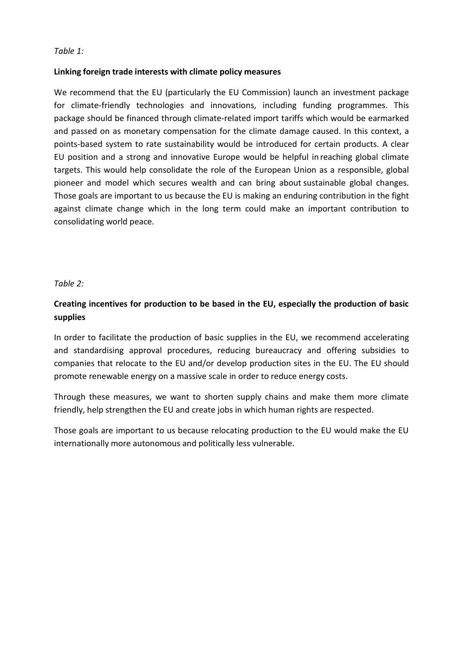# **Linking foreign trade interests with climate policy measures**

We recommend that the EU (particularly the EU Commission) launch an investment package for climate-friendly technologies and innovations, including funding programmes. This package should be financed through climate-related import tariffs which would be earmarked and passed on as monetary compensation for the climate damage caused. In this context, a points-based system to rate sustainability would be introduced for certain products. A clear EU position and a strong and innovative Europe would be helpful in reaching global climate targets. This would help consolidate the role of the European Union as a responsible, global pioneer and model which secures wealth and can bring about sustainable global changes. Those goals are important to us because the EU is making an enduring contribution in the fight against climate change which in the long term could make an important contribution to consolidating world peace.

## *Table 2:*

# **Creating incentives for production to be based in the EU, especially the production of basic supplies**

In order to facilitate the production of basic supplies in the EU, we recommend accelerating and standardising approval procedures, reducing bureaucracy and offering subsidies to companies that relocate to the EU and/or develop production sites in the EU. The EU should promote renewable energy on a massive scale in order to reduce energy costs.

Through these measures, we want to shorten supply chains and make them more climate friendly, help strengthen the EU and create jobs in which human rights are respected.

Those goals are important to us because relocating production to the EU would make the EU internationally more autonomous and politically less vulnerable.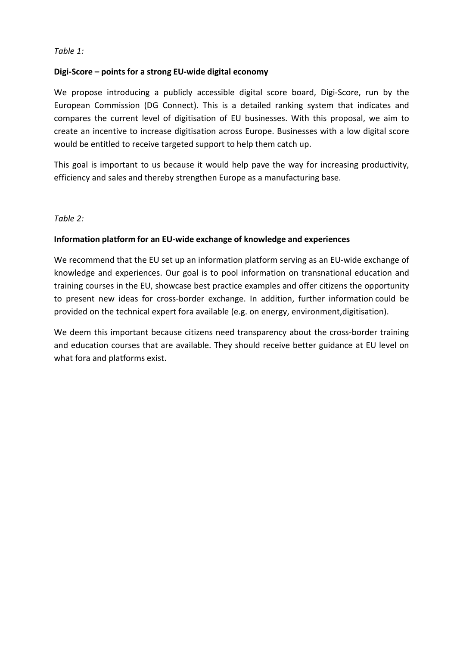# **Digi-Score – points for a strong EU-wide digital economy**

We propose introducing a publicly accessible digital score board, Digi-Score, run by the European Commission (DG Connect). This is a detailed ranking system that indicates and compares the current level of digitisation of EU businesses. With this proposal, we aim to create an incentive to increase digitisation across Europe. Businesses with a low digital score would be entitled to receive targeted support to help them catch up.

This goal is important to us because it would help pave the way for increasing productivity, efficiency and sales and thereby strengthen Europe as a manufacturing base.

## *Table 2:*

## **Information platform for an EU-wide exchange of knowledge and experiences**

We recommend that the EU set up an information platform serving as an EU-wide exchange of knowledge and experiences. Our goal is to pool information on transnational education and training courses in the EU, showcase best practice examples and offer citizens the opportunity to present new ideas for cross-border exchange. In addition, further information could be provided on the technical expert fora available (e.g. on energy, environment,digitisation).

We deem this important because citizens need transparency about the cross-border training and education courses that are available. They should receive better guidance at EU level on what fora and platforms exist.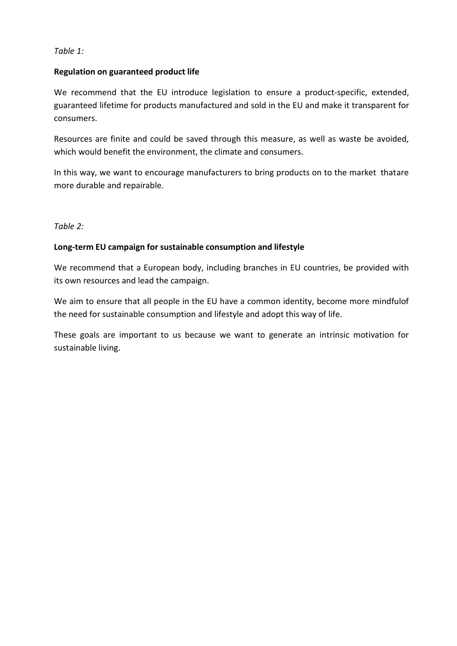## **Regulation on guaranteed product life**

We recommend that the EU introduce legislation to ensure a product-specific, extended, guaranteed lifetime for products manufactured and sold in the EU and make it transparent for consumers.

Resources are finite and could be saved through this measure, as well as waste be avoided, which would benefit the environment, the climate and consumers.

In this way, we want to encourage manufacturers to bring products on to the market thatare more durable and repairable.

## *Table 2:*

## **Long-term EU campaign for sustainable consumption and lifestyle**

We recommend that a European body, including branches in EU countries, be provided with its own resources and lead the campaign.

We aim to ensure that all people in the EU have a common identity, become more mindfulof the need for sustainable consumption and lifestyle and adopt this way of life.

These goals are important to us because we want to generate an intrinsic motivation for sustainable living.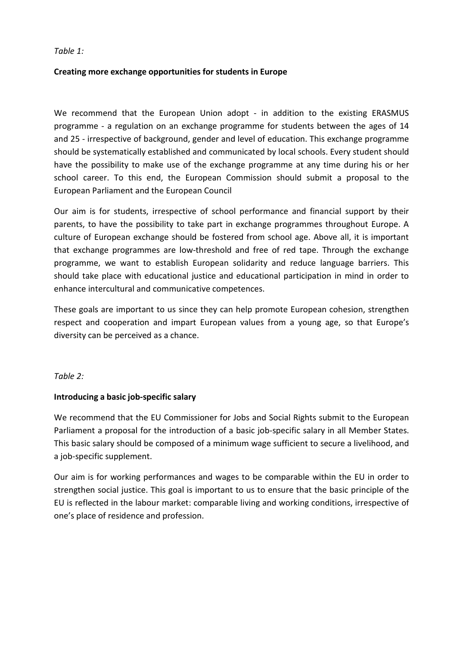# **Creating more exchange opportunities for students in Europe**

We recommend that the European Union adopt - in addition to the existing ERASMUS programme - a regulation on an exchange programme for students between the ages of 14 and 25 - irrespective of background, gender and level of education. This exchange programme should be systematically established and communicated by local schools. Every student should have the possibility to make use of the exchange programme at any time during his or her school career. To this end, the European Commission should submit a proposal to the European Parliament and the European Council

Our aim is for students, irrespective of school performance and financial support by their parents, to have the possibility to take part in exchange programmes throughout Europe. A culture of European exchange should be fostered from school age. Above all, it is important that exchange programmes are low-threshold and free of red tape. Through the exchange programme, we want to establish European solidarity and reduce language barriers. This should take place with educational justice and educational participation in mind in order to enhance intercultural and communicative competences.

These goals are important to us since they can help promote European cohesion, strengthen respect and cooperation and impart European values from a young age, so that Europe's diversity can be perceived as a chance.

*Table 2:*

# **Introducing a basic job-specific salary**

We recommend that the EU Commissioner for Jobs and Social Rights submit to the European Parliament a proposal for the introduction of a basic job-specific salary in all Member States. This basic salary should be composed of a minimum wage sufficient to secure a livelihood, and a job-specific supplement.

Our aim is for working performances and wages to be comparable within the EU in order to strengthen social justice. This goal is important to us to ensure that the basic principle of the EU is reflected in the labour market: comparable living and working conditions, irrespective of one's place of residence and profession.